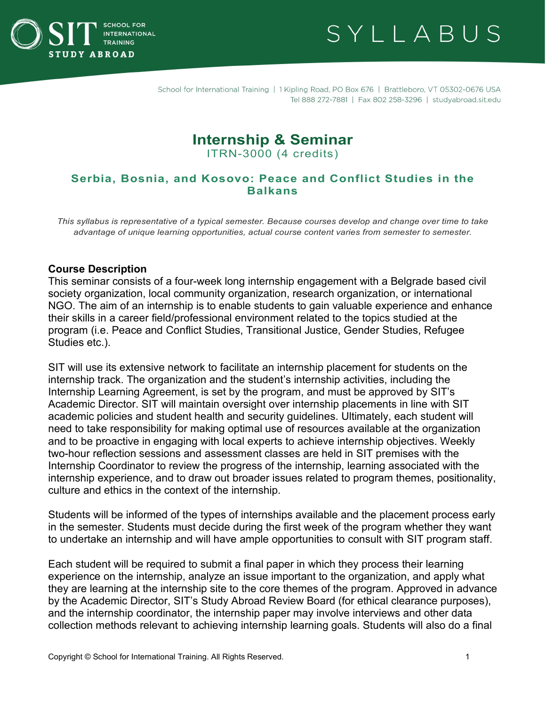



# **Internship & Seminar**

ITRN-3000 (4 credits)

# **Serbia, Bosnia, and Kosovo: Peace and Conflict Studies in the Balkans**

*This syllabus is representative of a typical semester. Because courses develop and change over time to take advantage of unique learning opportunities, actual course content varies from semester to semester.*

### **Course Description**

This seminar consists of a four-week long internship engagement with a Belgrade based civil society organization, local community organization, research organization, or international NGO. The aim of an internship is to enable students to gain valuable experience and enhance their skills in a career field/professional environment related to the topics studied at the program (i.e. Peace and Conflict Studies, Transitional Justice, Gender Studies, Refugee Studies etc.).

SIT will use its extensive network to facilitate an internship placement for students on the internship track. The organization and the student's internship activities, including the Internship Learning Agreement, is set by the program, and must be approved by SIT's Academic Director. SIT will maintain oversight over internship placements in line with SIT academic policies and student health and security guidelines. Ultimately, each student will need to take responsibility for making optimal use of resources available at the organization and to be proactive in engaging with local experts to achieve internship objectives. Weekly two-hour reflection sessions and assessment classes are held in SIT premises with the Internship Coordinator to review the progress of the internship, learning associated with the internship experience, and to draw out broader issues related to program themes, positionality, culture and ethics in the context of the internship.

Students will be informed of the types of internships available and the placement process early in the semester. Students must decide during the first week of the program whether they want to undertake an internship and will have ample opportunities to consult with SIT program staff.

Each student will be required to submit a final paper in which they process their learning experience on the internship, analyze an issue important to the organization, and apply what they are learning at the internship site to the core themes of the program. Approved in advance by the Academic Director, SIT's Study Abroad Review Board (for ethical clearance purposes), and the internship coordinator, the internship paper may involve interviews and other data collection methods relevant to achieving internship learning goals. Students will also do a final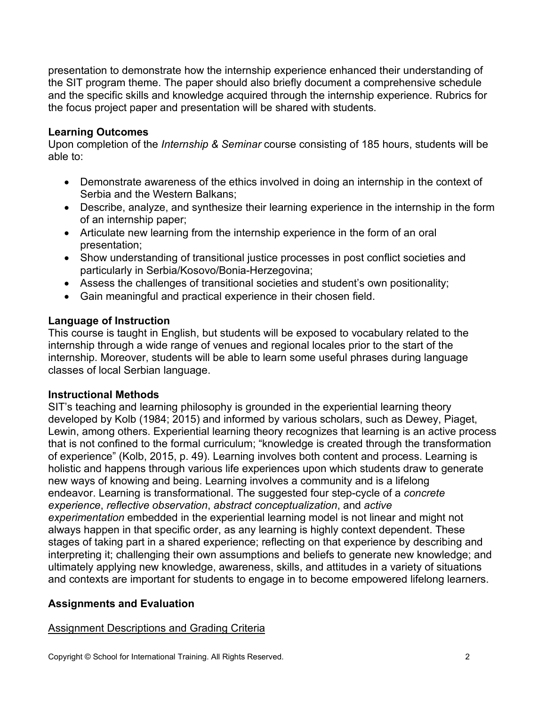presentation to demonstrate how the internship experience enhanced their understanding of the SIT program theme. The paper should also briefly document a comprehensive schedule and the specific skills and knowledge acquired through the internship experience. Rubrics for the focus project paper and presentation will be shared with students.

### **Learning Outcomes**

Upon completion of the *Internship & Seminar* course consisting of 185 hours, students will be able to:

- Demonstrate awareness of the ethics involved in doing an internship in the context of Serbia and the Western Balkans;
- Describe, analyze, and synthesize their learning experience in the internship in the form of an internship paper;
- Articulate new learning from the internship experience in the form of an oral presentation;
- Show understanding of transitional justice processes in post conflict societies and particularly in Serbia/Kosovo/Bonia-Herzegovina;
- Assess the challenges of transitional societies and student's own positionality;
- Gain meaningful and practical experience in their chosen field.

# **Language of Instruction**

This course is taught in English, but students will be exposed to vocabulary related to the internship through a wide range of venues and regional locales prior to the start of the internship. Moreover, students will be able to learn some useful phrases during language classes of local Serbian language.

### **Instructional Methods**

SIT's teaching and learning philosophy is grounded in the experiential learning theory developed by Kolb (1984; 2015) and informed by various scholars, such as Dewey, Piaget, Lewin, among others. Experiential learning theory recognizes that learning is an active process that is not confined to the formal curriculum; "knowledge is created through the transformation of experience" (Kolb, 2015, p. 49). Learning involves both content and process. Learning is holistic and happens through various life experiences upon which students draw to generate new ways of knowing and being. Learning involves a community and is a lifelong endeavor. Learning is transformational. The suggested four step-cycle of a *concrete experience*, *reflective observation*, *abstract conceptualization*, and *active experimentation* embedded in the experiential learning model is not linear and might not always happen in that specific order, as any learning is highly context dependent. These stages of taking part in a shared experience; reflecting on that experience by describing and interpreting it; challenging their own assumptions and beliefs to generate new knowledge; and ultimately applying new knowledge, awareness, skills, and attitudes in a variety of situations and contexts are important for students to engage in to become empowered lifelong learners.

# **Assignments and Evaluation**

# Assignment Descriptions and Grading Criteria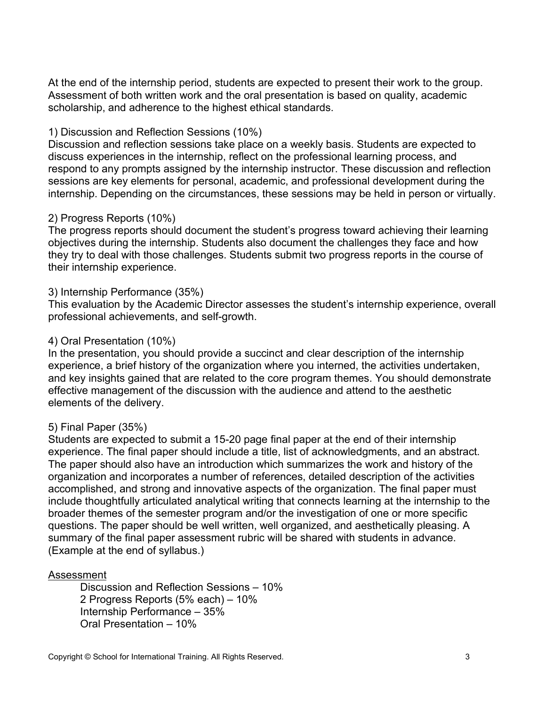At the end of the internship period, students are expected to present their work to the group. Assessment of both written work and the oral presentation is based on quality, academic scholarship, and adherence to the highest ethical standards.

### 1) Discussion and Reflection Sessions (10%)

Discussion and reflection sessions take place on a weekly basis. Students are expected to discuss experiences in the internship, reflect on the professional learning process, and respond to any prompts assigned by the internship instructor. These discussion and reflection sessions are key elements for personal, academic, and professional development during the internship. Depending on the circumstances, these sessions may be held in person or virtually.

# 2) Progress Reports (10%)

The progress reports should document the student's progress toward achieving their learning objectives during the internship. Students also document the challenges they face and how they try to deal with those challenges. Students submit two progress reports in the course of their internship experience.

### 3) Internship Performance (35%)

This evaluation by the Academic Director assesses the student's internship experience, overall professional achievements, and self-growth.

### 4) Oral Presentation (10%)

In the presentation, you should provide a succinct and clear description of the internship experience, a brief history of the organization where you interned, the activities undertaken, and key insights gained that are related to the core program themes. You should demonstrate effective management of the discussion with the audience and attend to the aesthetic elements of the delivery.

### 5) Final Paper (35%)

Students are expected to submit a 15-20 page final paper at the end of their internship experience. The final paper should include a title, list of acknowledgments, and an abstract. The paper should also have an introduction which summarizes the work and history of the organization and incorporates a number of references, detailed description of the activities accomplished, and strong and innovative aspects of the organization. The final paper must include thoughtfully articulated analytical writing that connects learning at the internship to the broader themes of the semester program and/or the investigation of one or more specific questions. The paper should be well written, well organized, and aesthetically pleasing. A summary of the final paper assessment rubric will be shared with students in advance. (Example at the end of syllabus.)

### Assessment

Discussion and Reflection Sessions – 10% 2 Progress Reports (5% each) – 10% Internship Performance – 35% Oral Presentation – 10%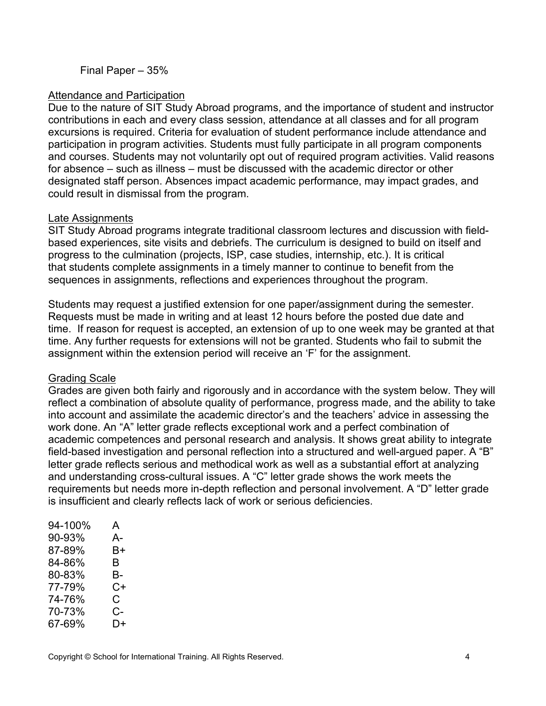Final Paper – 35%

### Attendance and Participation

Due to the nature of SIT Study Abroad programs, and the importance of student and instructor contributions in each and every class session, attendance at all classes and for all program excursions is required. Criteria for evaluation of student performance include attendance and participation in program activities. Students must fully participate in all program components and courses. Students may not voluntarily opt out of required program activities. Valid reasons for absence – such as illness – must be discussed with the academic director or other designated staff person. Absences impact academic performance, may impact grades, and could result in dismissal from the program.

### Late Assignments

SIT Study Abroad programs integrate traditional classroom lectures and discussion with fieldbased experiences, site visits and debriefs. The curriculum is designed to build on itself and progress to the culmination (projects, ISP, case studies, internship, etc.). It is critical that students complete assignments in a timely manner to continue to benefit from the sequences in assignments, reflections and experiences throughout the program.

Students may request a justified extension for one paper/assignment during the semester. Requests must be made in writing and at least 12 hours before the posted due date and time. If reason for request is accepted, an extension of up to one week may be granted at that time. Any further requests for extensions will not be granted. Students who fail to submit the assignment within the extension period will receive an 'F' for the assignment.

### Grading Scale

Grades are given both fairly and rigorously and in accordance with the system below. They will reflect a combination of absolute quality of performance, progress made, and the ability to take into account and assimilate the academic director's and the teachers' advice in assessing the work done. An "A" letter grade reflects exceptional work and a perfect combination of academic competences and personal research and analysis. It shows great ability to integrate field-based investigation and personal reflection into a structured and well-argued paper. A "B" letter grade reflects serious and methodical work as well as a substantial effort at analyzing and understanding cross-cultural issues. A "C" letter grade shows the work meets the requirements but needs more in-depth reflection and personal involvement. A "D" letter grade is insufficient and clearly reflects lack of work or serious deficiencies.

| 94-100% | A  |
|---------|----|
| 90-93%  | А- |
| 87-89%  | В+ |
| 84-86%  | В  |
| 80-83%  | В- |
| 77-79%  | C+ |
| 74-76%  | C. |
| 70-73%  | C- |
| 67-69%  | D+ |
|         |    |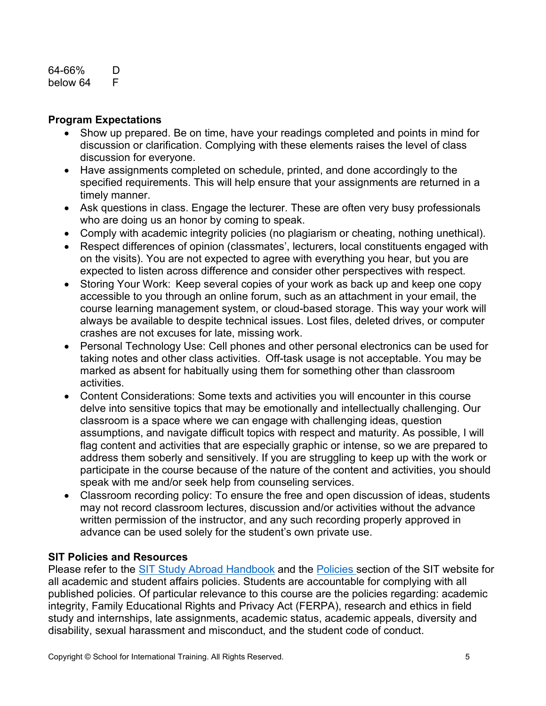#### 64-66% D below 64 F

# **Program Expectations**

- Show up prepared. Be on time, have your readings completed and points in mind for discussion or clarification. Complying with these elements raises the level of class discussion for everyone.
- Have assignments completed on schedule, printed, and done accordingly to the specified requirements. This will help ensure that your assignments are returned in a timely manner.
- Ask questions in class. Engage the lecturer. These are often very busy professionals who are doing us an honor by coming to speak.
- Comply with academic integrity policies (no plagiarism or cheating, nothing unethical).
- Respect differences of opinion (classmates', lecturers, local constituents engaged with on the visits). You are not expected to agree with everything you hear, but you are expected to listen across difference and consider other perspectives with respect.
- Storing Your Work: Keep several copies of your work as back up and keep one copy accessible to you through an online forum, such as an attachment in your email, the course learning management system, or cloud-based storage. This way your work will always be available to despite technical issues. Lost files, deleted drives, or computer crashes are not excuses for late, missing work.
- Personal Technology Use: Cell phones and other personal electronics can be used for taking notes and other class activities.  Off-task usage is not acceptable. You may be marked as absent for habitually using them for something other than classroom activities.
- Content Considerations: Some texts and activities you will encounter in this course delve into sensitive topics that may be emotionally and intellectually challenging. Our classroom is a space where we can engage with challenging ideas, question assumptions, and navigate difficult topics with respect and maturity. As possible, I will flag content and activities that are especially graphic or intense, so we are prepared to address them soberly and sensitively. If you are struggling to keep up with the work or participate in the course because of the nature of the content and activities, you should speak with me and/or seek help from counseling services.
- Classroom recording policy: To ensure the free and open discussion of ideas, students may not record classroom lectures, discussion and/or activities without the advance written permission of the instructor, and any such recording properly approved in advance can be used solely for the student's own private use.

### **SIT Policies and Resources**

Please refer to the [SIT Study Abroad Handbook](https://studyabroad.sit.edu/Student-Handbook/) and the [Policies](https://studyabroad.sit.edu/admitted-students/policies/) section of the SIT website for all academic and student affairs policies. Students are accountable for complying with all published policies. Of particular relevance to this course are the policies regarding: academic integrity, Family Educational Rights and Privacy Act (FERPA), research and ethics in field study and internships, late assignments, academic status, academic appeals, diversity and disability, sexual harassment and misconduct, and the student code of conduct.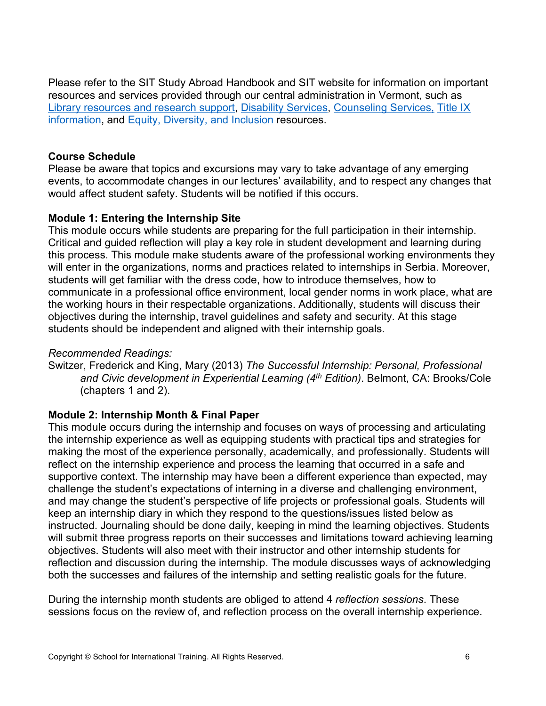Please refer to the SIT Study Abroad Handbook and SIT website for information on important resources and services provided through our central administration in Vermont, such as [Library resources and research support,](https://studyabroad.sit.edu/admitted-students/student-resources/) [Disability Services,](https://studyabroad.sit.edu/health-safety-and-well-being/disability-services/) [Counseling Services,](https://studyabroad.sit.edu/health-safety-and-well-being/counseling-and-mental-health/) [Title IX](https://studyabroad.sit.edu/health-safety-and-well-being/sexual-safety-title-ix/)  [information,](https://studyabroad.sit.edu/health-safety-and-well-being/sexual-safety-title-ix/) and [Equity, Diversity, and Inclusion](https://studyabroad.sit.edu/health-safety-and-well-being/social-identity/) resources.

# **Course Schedule**

Please be aware that topics and excursions may vary to take advantage of any emerging events, to accommodate changes in our lectures' availability, and to respect any changes that would affect student safety. Students will be notified if this occurs.

# **Module 1: Entering the Internship Site**

This module occurs while students are preparing for the full participation in their internship. Critical and guided reflection will play a key role in student development and learning during this process. This module make students aware of the professional working environments they will enter in the organizations, norms and practices related to internships in Serbia. Moreover, students will get familiar with the dress code, how to introduce themselves, how to communicate in a professional office environment, local gender norms in work place, what are the working hours in their respectable organizations. Additionally, students will discuss their objectives during the internship, travel guidelines and safety and security. At this stage students should be independent and aligned with their internship goals.

### *Recommended Readings:*

Switzer, Frederick and King, Mary (2013) *The Successful Internship: Personal, Professional and Civic development in Experiential Learning (4th Edition)*. Belmont, CA: Brooks/Cole (chapters 1 and 2).

# **Module 2: Internship Month & Final Paper**

This module occurs during the internship and focuses on ways of processing and articulating the internship experience as well as equipping students with practical tips and strategies for making the most of the experience personally, academically, and professionally. Students will reflect on the internship experience and process the learning that occurred in a safe and supportive context. The internship may have been a different experience than expected, may challenge the student's expectations of interning in a diverse and challenging environment, and may change the student's perspective of life projects or professional goals. Students will keep an internship diary in which they respond to the questions/issues listed below as instructed. Journaling should be done daily, keeping in mind the learning objectives. Students will submit three progress reports on their successes and limitations toward achieving learning objectives. Students will also meet with their instructor and other internship students for reflection and discussion during the internship. The module discusses ways of acknowledging both the successes and failures of the internship and setting realistic goals for the future.

During the internship month students are obliged to attend 4 *reflection sessions*. These sessions focus on the review of, and reflection process on the overall internship experience.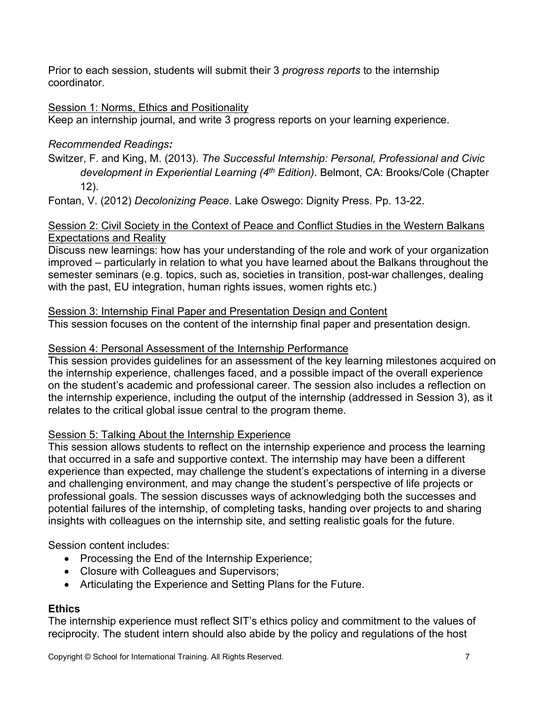Prior to each session, students will submit their 3 *progress reports* to the internship coordinator.

# Session 1: Norms, Ethics and Positionality

Keep an internship journal, and write 3 progress reports on your learning experience.

# *Recommended Readings:*

Switzer, F. and King, M. (2013). *The Successful Internship: Personal, Professional and Civic development in Experiential Learning (4th Edition)*. Belmont, CA: Brooks/Cole (Chapter 12).

Fontan, V. (2012) *Decolonizing Peace*. Lake Oswego: Dignity Press. Pp. 13-22.

### Session 2: Civil Society in the Context of Peace and Conflict Studies in the Western Balkans Expectations and Reality

Discuss new learnings: how has your understanding of the role and work of your organization improved – particularly in relation to what you have learned about the Balkans throughout the semester seminars (e.g. topics, such as, societies in transition, post-war challenges, dealing with the past, EU integration, human rights issues, women rights etc.)

# Session 3: Internship Final Paper and Presentation Design and Content

This session focuses on the content of the internship final paper and presentation design.

# Session 4: Personal Assessment of the Internship Performance

This session provides guidelines for an assessment of the key learning milestones acquired on the internship experience, challenges faced, and a possible impact of the overall experience on the student's academic and professional career. The session also includes a reflection on the internship experience, including the output of the internship (addressed in Session 3), as it relates to the critical global issue central to the program theme.

# Session 5: Talking About the Internship Experience

This session allows students to reflect on the internship experience and process the learning that occurred in a safe and supportive context. The internship may have been a different experience than expected, may challenge the student's expectations of interning in a diverse and challenging environment, and may change the student's perspective of life projects or professional goals. The session discusses ways of acknowledging both the successes and potential failures of the internship, of completing tasks, handing over projects to and sharing insights with colleagues on the internship site, and setting realistic goals for the future.

Session content includes:

- Processing the End of the Internship Experience;
- Closure with Colleagues and Supervisors;
- Articulating the Experience and Setting Plans for the Future.

# **Ethics**

The internship experience must reflect SIT's ethics policy and commitment to the values of reciprocity. The student intern should also abide by the policy and regulations of the host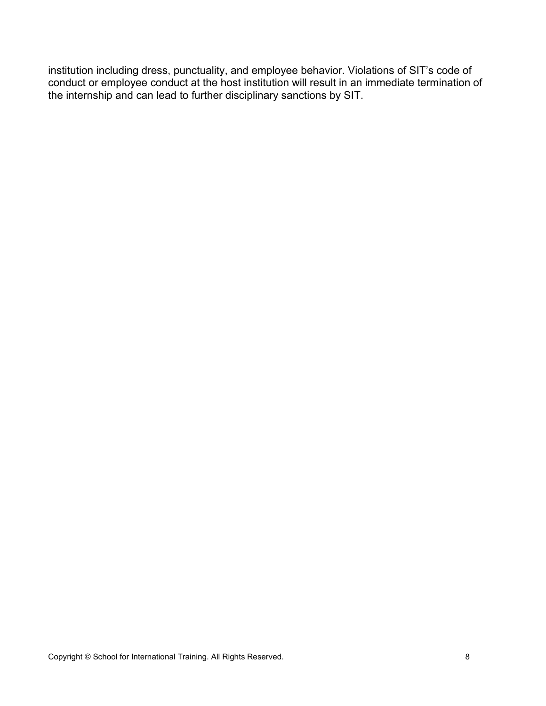institution including dress, punctuality, and employee behavior. Violations of SIT's code of conduct or employee conduct at the host institution will result in an immediate termination of the internship and can lead to further disciplinary sanctions by SIT.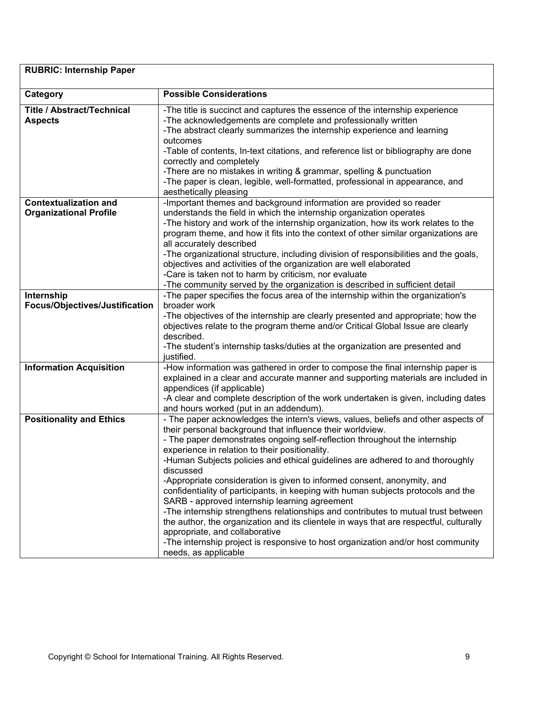| <b>RUBRIC: Internship Paper</b>                               |                                                                                                                                                                                                                                                                                                                                                                                                                                                                                                                                                                                                                                                                                                                                                                                                                                                                                                                            |  |
|---------------------------------------------------------------|----------------------------------------------------------------------------------------------------------------------------------------------------------------------------------------------------------------------------------------------------------------------------------------------------------------------------------------------------------------------------------------------------------------------------------------------------------------------------------------------------------------------------------------------------------------------------------------------------------------------------------------------------------------------------------------------------------------------------------------------------------------------------------------------------------------------------------------------------------------------------------------------------------------------------|--|
| Category                                                      | <b>Possible Considerations</b>                                                                                                                                                                                                                                                                                                                                                                                                                                                                                                                                                                                                                                                                                                                                                                                                                                                                                             |  |
| <b>Title / Abstract/Technical</b><br><b>Aspects</b>           | -The title is succinct and captures the essence of the internship experience<br>-The acknowledgements are complete and professionally written<br>-The abstract clearly summarizes the internship experience and learning<br>outcomes<br>-Table of contents, In-text citations, and reference list or bibliography are done<br>correctly and completely                                                                                                                                                                                                                                                                                                                                                                                                                                                                                                                                                                     |  |
|                                                               | -There are no mistakes in writing & grammar, spelling & punctuation<br>-The paper is clean, legible, well-formatted, professional in appearance, and<br>aesthetically pleasing                                                                                                                                                                                                                                                                                                                                                                                                                                                                                                                                                                                                                                                                                                                                             |  |
| <b>Contextualization and</b><br><b>Organizational Profile</b> | -Important themes and background information are provided so reader<br>understands the field in which the internship organization operates<br>-The history and work of the internship organization, how its work relates to the<br>program theme, and how it fits into the context of other similar organizations are<br>all accurately described<br>-The organizational structure, including division of responsibilities and the goals,<br>objectives and activities of the organization are well elaborated<br>-Care is taken not to harm by criticism, nor evaluate<br>-The community served by the organization is described in sufficient detail                                                                                                                                                                                                                                                                     |  |
| Internship<br>Focus/Objectives/Justification                  | -The paper specifies the focus area of the internship within the organization's<br>broader work<br>-The objectives of the internship are clearly presented and appropriate; how the<br>objectives relate to the program theme and/or Critical Global Issue are clearly<br>described.<br>-The student's internship tasks/duties at the organization are presented and<br>justified.                                                                                                                                                                                                                                                                                                                                                                                                                                                                                                                                         |  |
| <b>Information Acquisition</b>                                | -How information was gathered in order to compose the final internship paper is<br>explained in a clear and accurate manner and supporting materials are included in<br>appendices (if applicable)<br>-A clear and complete description of the work undertaken is given, including dates<br>and hours worked (put in an addendum).                                                                                                                                                                                                                                                                                                                                                                                                                                                                                                                                                                                         |  |
| <b>Positionality and Ethics</b>                               | - The paper acknowledges the intern's views, values, beliefs and other aspects of<br>their personal background that influence their worldview.<br>- The paper demonstrates ongoing self-reflection throughout the internship<br>experience in relation to their positionality.<br>-Human Subjects policies and ethical guidelines are adhered to and thoroughly<br>discussed<br>-Appropriate consideration is given to informed consent, anonymity, and<br>confidentiality of participants, in keeping with human subjects protocols and the<br>SARB - approved internship learning agreement<br>-The internship strengthens relationships and contributes to mutual trust between<br>the author, the organization and its clientele in ways that are respectful, culturally<br>appropriate, and collaborative<br>-The internship project is responsive to host organization and/or host community<br>needs, as applicable |  |